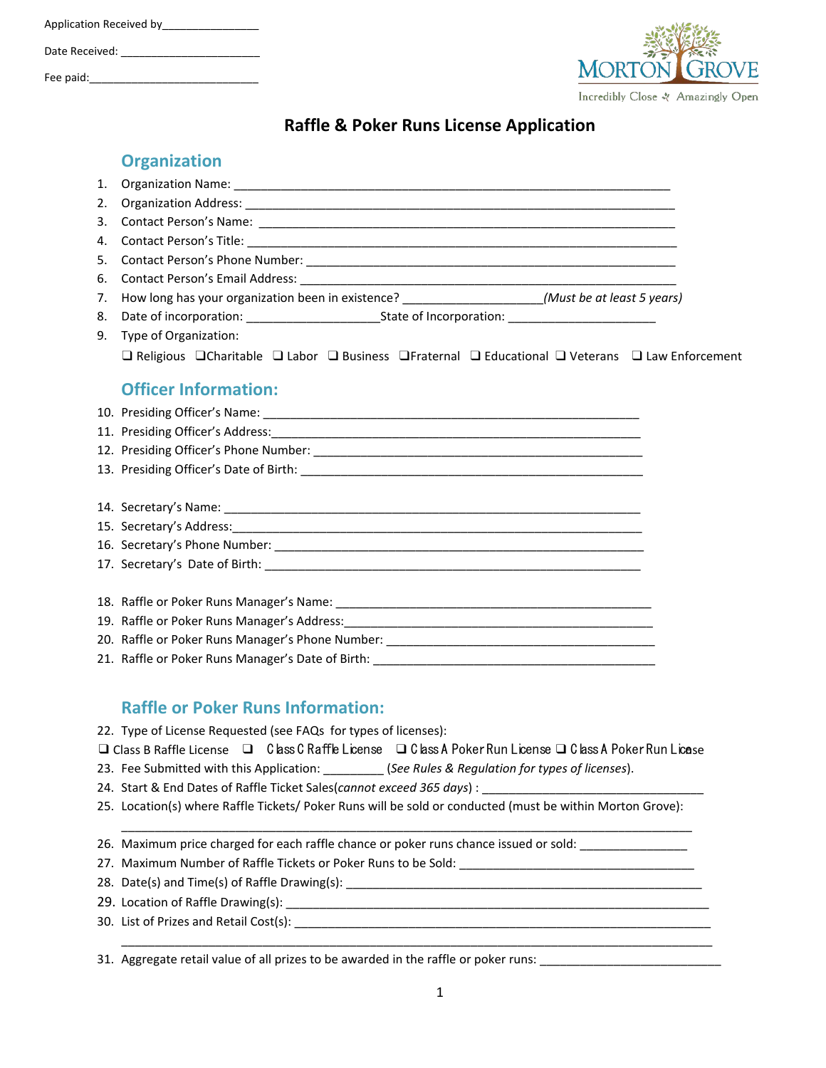| Application Received by |  |  |  |
|-------------------------|--|--|--|
| Date Received:          |  |  |  |
| Fee paid:               |  |  |  |



## **Raffle & Poker Runs License Application**

|    | <b>Organization</b>                                                                                                                        |  |  |  |
|----|--------------------------------------------------------------------------------------------------------------------------------------------|--|--|--|
| 1. |                                                                                                                                            |  |  |  |
| 2. |                                                                                                                                            |  |  |  |
| 3. |                                                                                                                                            |  |  |  |
| 4. |                                                                                                                                            |  |  |  |
| 5. |                                                                                                                                            |  |  |  |
| 6. |                                                                                                                                            |  |  |  |
| 7. | How long has your organization been in existence? _____________________(Must be at least 5 years)                                          |  |  |  |
| 8. |                                                                                                                                            |  |  |  |
|    | 9. Type of Organization:                                                                                                                   |  |  |  |
|    | $\Box$ Religious $\Box$ Charitable $\Box$ Labor $\Box$ Business $\Box$ Fraternal $\Box$ Educational $\Box$ Veterans $\Box$ Law Enforcement |  |  |  |
|    | <b>Officer Information:</b>                                                                                                                |  |  |  |
|    |                                                                                                                                            |  |  |  |
|    |                                                                                                                                            |  |  |  |
|    |                                                                                                                                            |  |  |  |
|    |                                                                                                                                            |  |  |  |
|    |                                                                                                                                            |  |  |  |
|    |                                                                                                                                            |  |  |  |
|    |                                                                                                                                            |  |  |  |
|    |                                                                                                                                            |  |  |  |
|    |                                                                                                                                            |  |  |  |
|    |                                                                                                                                            |  |  |  |
|    |                                                                                                                                            |  |  |  |
|    |                                                                                                                                            |  |  |  |
|    |                                                                                                                                            |  |  |  |
|    |                                                                                                                                            |  |  |  |

### **Raffle or Poker Runs Information:**

22. Type of License Requested (see FAQs for types of licenses):

❑ Class B Raffle License ❑ Class C Raffle License ❑ Class A Poker Run License ❑ Class A Poker Run License

\_\_\_\_\_\_\_\_\_\_\_\_\_\_\_\_\_\_\_\_\_\_\_\_\_\_\_\_\_\_\_\_\_\_\_\_\_\_\_\_\_\_\_\_\_\_\_\_\_\_\_\_\_\_\_\_\_\_\_\_\_\_\_\_\_\_\_\_\_\_\_\_\_\_\_\_\_\_\_\_\_\_\_\_\_

\_\_\_\_\_\_\_\_\_\_\_\_\_\_\_\_\_\_\_\_\_\_\_\_\_\_\_\_\_\_\_\_\_\_\_\_\_\_\_\_\_\_\_\_\_\_\_\_\_\_\_\_\_\_\_\_\_\_\_\_\_\_\_\_\_\_\_\_\_\_\_\_\_\_\_\_\_\_\_\_\_\_\_\_\_\_\_\_

- 23. Fee Submitted with this Application: \_\_\_\_\_\_\_\_\_ (*See Rules & Regulation for types of licenses*).
- 24. Start & End Dates of Raffle Ticket Sales(*cannot exceed 365 days*) :
- 25. Location(s) where Raffle Tickets/ Poker Runs will be sold or conducted (must be within Morton Grove):

26. Maximum price charged for each raffle chance or poker runs chance issued or sold: \_\_\_\_\_\_\_\_\_\_\_\_\_\_\_\_\_\_\_\_\_\_\_

- 27. Maximum Number of Raffle Tickets or Poker Runs to be Sold: \_\_\_\_\_\_\_\_\_\_\_\_\_\_\_\_\_
- 28. Date(s) and Time(s) of Raffle Drawing(s): \_\_\_\_\_\_\_\_\_\_\_\_\_\_\_\_\_\_\_\_\_\_\_\_\_\_\_\_\_\_\_\_\_\_\_\_\_\_\_\_\_\_\_\_\_\_\_\_\_\_\_\_\_
- 29. Location of Raffle Drawing(s): \_\_\_\_\_\_\_\_\_\_\_\_\_\_\_\_\_\_\_\_\_\_\_\_\_\_\_\_\_\_\_\_\_\_\_\_\_\_\_\_\_\_\_\_\_\_\_\_\_\_\_\_\_\_\_\_\_\_\_\_\_\_\_
- 30. List of Prizes and Retail Cost(s):

31. Aggregate retail value of all prizes to be awarded in the raffle or poker runs: \_\_\_\_\_\_\_\_\_\_\_\_\_\_\_\_\_\_\_\_\_\_\_\_\_\_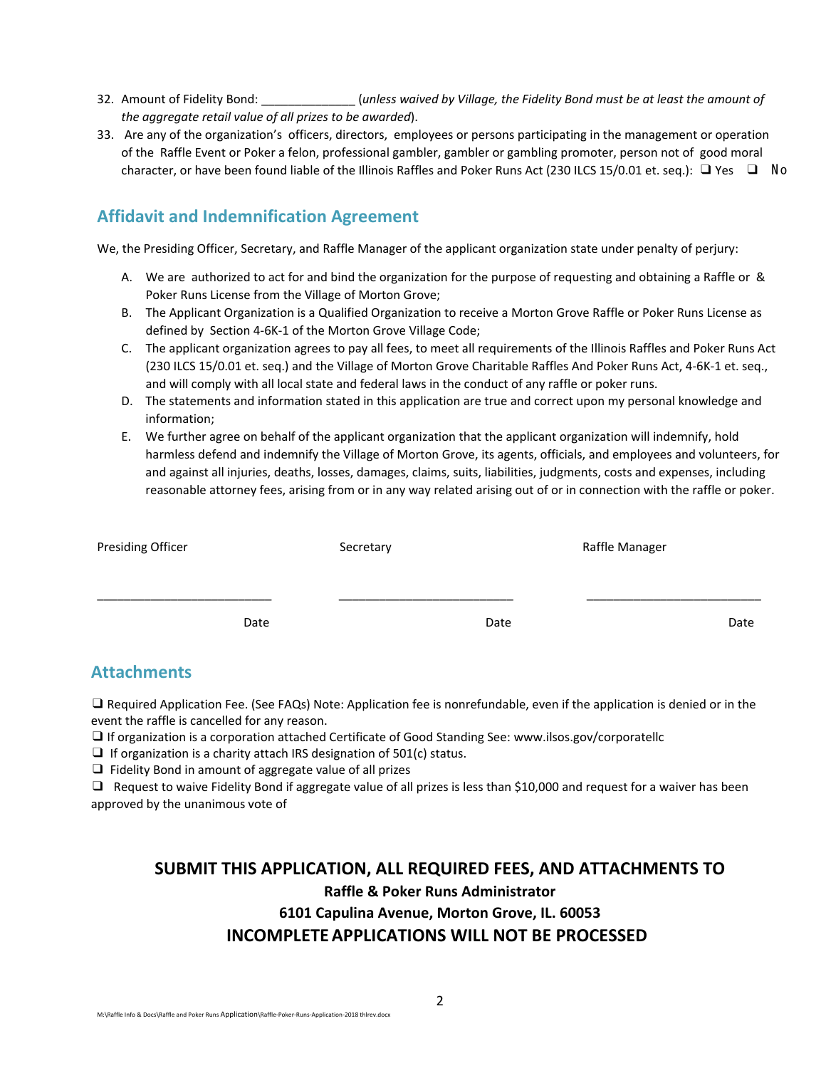- 32. Amount of Fidelity Bond: \_\_\_\_\_\_\_\_\_\_\_\_\_\_ (*unless waived by Village, the Fidelity Bond must be at least the amount of the aggregate retail value of all prizes to be awarded*).
- 33. Are any of the organization's officers, directors, employees or persons participating in the management or operation of the Raffle Event or Poker a felon, professional gambler, gambler or gambling promoter, person not of good moral character, or have been found liable of the Illinois Raffles and Poker Runs Act (230 ILCS 15/0.01 et. seq.): ❑ Yes ❑ N o

### **Affidavit and Indemnification Agreement**

We, the Presiding Officer, Secretary, and Raffle Manager of the applicant organization state under penalty of perjury:

- A. We are authorized to act for and bind the organization for the purpose of requesting and obtaining a Raffle or & Poker Runs License from the Village of Morton Grove;
- B. The Applicant Organization is a Qualified Organization to receive a Morton Grove Raffle or Poker Runs License as defined by Section 4-6K-1 of the Morton Grove Village Code;
- C. The applicant organization agrees to pay all fees, to meet all requirements of the Illinois Raffles and Poker Runs Act (230 ILCS 15/0.01 et. seq.) and the Village of Morton Grove Charitable Raffles And Poker Runs Act, 4-6K-1 et. seq., and will comply with all local state and federal laws in the conduct of any raffle or poker runs.
- D. The statements and information stated in this application are true and correct upon my personal knowledge and information;
- E. We further agree on behalf of the applicant organization that the applicant organization will indemnify, hold harmless defend and indemnify the Village of Morton Grove, its agents, officials, and employees and volunteers, for and against all injuries, deaths, losses, damages, claims, suits, liabilities, judgments, costs and expenses, including reasonable attorney fees, arising from or in any way related arising out of or in connection with the raffle or poker.

| <b>Presiding Officer</b> | Secretary | Raffle Manager |  |
|--------------------------|-----------|----------------|--|
|                          |           |                |  |
| Date                     | Date      | Date           |  |

### **Attachments**

❑ Required Application Fee. (See FAQs) Note: Application fee is nonrefundable, even if the application is denied or in the event the raffle is cancelled for any reason.

❑ If organization is a corporation attached Certificate of Good Standing See: www.ilsos.gov/corporatellc

 $\Box$  If organization is a charity attach IRS designation of 501(c) status.

❑ Fidelity Bond in amount of aggregate value of all prizes

❑ Request to waive Fidelity Bond if aggregate value of all prizes is less than \$10,000 and request for a waiver has been approved by the unanimous vote of

# **SUBMIT THIS APPLICATION, ALL REQUIRED FEES, AND ATTACHMENTS TO Raffle & Poker Runs Administrator 6101 Capulina Avenue, Morton Grove, IL. 60053 INCOMPLETEAPPLICATIONS WILL NOT BE PROCESSED**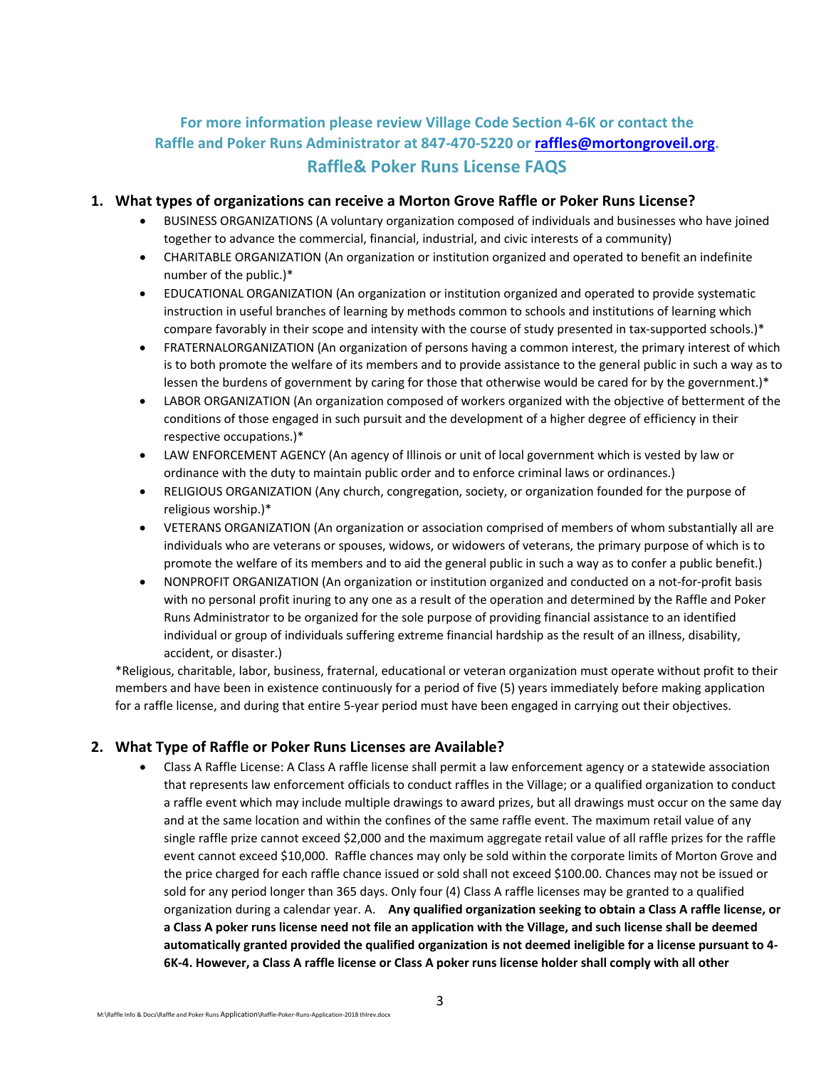## **For more information please review Village Code Section 4-6K or contact the Raffle and Poker Runs Administrator at 847-470-5220 or [raffles@mortongroveil.org.](mailto:raffles@mortongroveil.org) Raffle& Poker Runs License FAQS**

#### **1. What types of organizations can receive a Morton Grove Raffle or Poker Runs License?**

- BUSINESS ORGANIZATIONS (A voluntary organization composed of individuals and businesses who have joined together to advance the commercial, financial, industrial, and civic interests of a community)
- CHARITABLE ORGANIZATION (An organization or institution organized and operated to benefit an indefinite number of the public.)\*
- EDUCATIONAL ORGANIZATION (An organization or institution organized and operated to provide systematic instruction in useful branches of learning by methods common to schools and institutions of learning which compare favorably in their scope and intensity with the course of study presented in tax-supported schools.)\*
- FRATERNALORGANIZATION (An organization of persons having a common interest, the primary interest of which is to both promote the welfare of its members and to provide assistance to the general public in such a way as to lessen the burdens of government by caring for those that otherwise would be cared for by the government.)\*
- LABOR ORGANIZATION (An organization composed of workers organized with the objective of betterment of the conditions of those engaged in such pursuit and the development of a higher degree of efficiency in their respective occupations.)\*
- LAW ENFORCEMENT AGENCY (An agency of Illinois or unit of local government which is vested by law or ordinance with the duty to maintain public order and to enforce criminal laws or ordinances.)
- RELIGIOUS ORGANIZATION (Any church, congregation, society, or organization founded for the purpose of religious worship.)\*
- VETERANS ORGANIZATION (An organization or association comprised of members of whom substantially all are individuals who are veterans or spouses, widows, or widowers of veterans, the primary purpose of which is to promote the welfare of its members and to aid the general public in such a way as to confer a public benefit.)
- NONPROFIT ORGANIZATION (An organization or institution organized and conducted on a not-for-profit basis with no personal profit inuring to any one as a result of the operation and determined by the Raffle and Poker Runs Administrator to be organized for the sole purpose of providing financial assistance to an identified individual or group of individuals suffering extreme financial hardship as the result of an illness, disability, accident, or disaster.)

\*Religious, charitable, labor, business, fraternal, educational or veteran organization must operate without profit to their members and have been in existence continuously for a period of five (5) years immediately before making application for a raffle license, and during that entire 5-year period must have been engaged in carrying out their objectives.

#### **2. What Type of Raffle or Poker Runs Licenses are Available?**

• Class A Raffle License: A Class A raffle license shall permit a law enforcement agency or a statewide association that represents law enforcement officials to conduct raffles in the Village; or a qualified organization to conduct a raffle event which may include multiple drawings to award prizes, but all drawings must occur on the same day and at the same location and within the confines of the same raffle event. The maximum retail value of any single raffle prize cannot exceed \$2,000 and the maximum aggregate retail value of all raffle prizes for the raffle event cannot exceed \$10,000. Raffle chances may only be sold within the corporate limits of Morton Grove and the price charged for each raffle chance issued or sold shall not exceed \$100.00. Chances may not be issued or sold for any period longer than 365 days. Only four (4) Class A raffle licenses may be granted to a qualified organization during a calendar year. A. **Any qualified organization seeking to obtain a Class A raffle license, or a Class A poker runs license need not file an application with the Village, and such license shall be deemed automatically granted provided the qualified organization is not deemed ineligible for a license pursuant to 4- 6K-4. However, a Class A raffle license or Class A poker runs license holder shall comply with all other**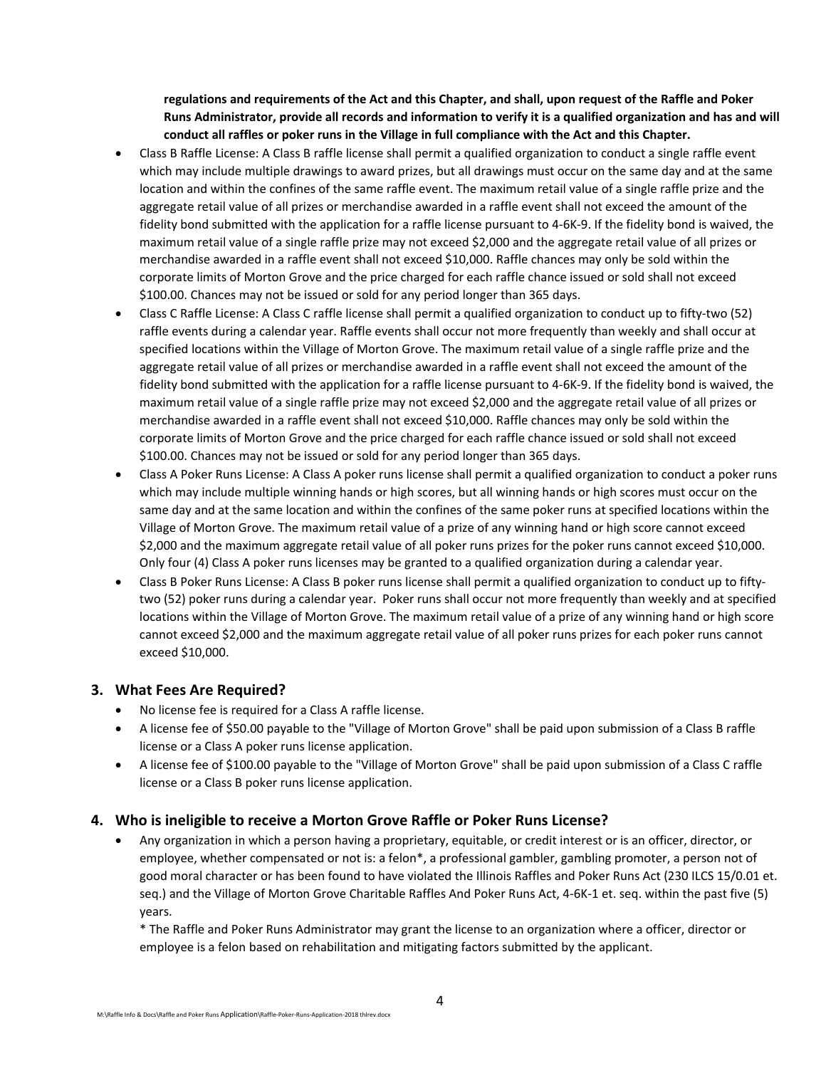**regulations and requirements of the Act and this Chapter, and shall, upon request of the Raffle and Poker Runs Administrator, provide all records and information to verify it is a qualified organization and has and will conduct all raffles or poker runs in the Village in full compliance with the Act and this Chapter.**

- Class B Raffle License: A Class B raffle license shall permit a qualified organization to conduct a single raffle event which may include multiple drawings to award prizes, but all drawings must occur on the same day and at the same location and within the confines of the same raffle event. The maximum retail value of a single raffle prize and the aggregate retail value of all prizes or merchandise awarded in a raffle event shall not exceed the amount of the fidelity bond submitted with the application for a raffle license pursuant to 4-6K-9. If the fidelity bond is waived, the maximum retail value of a single raffle prize may not exceed \$2,000 and the aggregate retail value of all prizes or merchandise awarded in a raffle event shall not exceed \$10,000. Raffle chances may only be sold within the corporate limits of Morton Grove and the price charged for each raffle chance issued or sold shall not exceed \$100.00. Chances may not be issued or sold for any period longer than 365 days.
- Class C Raffle License: A Class C raffle license shall permit a qualified organization to conduct up to fifty-two (52) raffle events during a calendar year. Raffle events shall occur not more frequently than weekly and shall occur at specified locations within the Village of Morton Grove. The maximum retail value of a single raffle prize and the aggregate retail value of all prizes or merchandise awarded in a raffle event shall not exceed the amount of the fidelity bond submitted with the application for a raffle license pursuant to 4-6K-9. If the fidelity bond is waived, the maximum retail value of a single raffle prize may not exceed \$2,000 and the aggregate retail value of all prizes or merchandise awarded in a raffle event shall not exceed \$10,000. Raffle chances may only be sold within the corporate limits of Morton Grove and the price charged for each raffle chance issued or sold shall not exceed \$100.00. Chances may not be issued or sold for any period longer than 365 days.
- Class A Poker Runs License: A Class A poker runs license shall permit a qualified organization to conduct a poker runs which may include multiple winning hands or high scores, but all winning hands or high scores must occur on the same day and at the same location and within the confines of the same poker runs at specified locations within the Village of Morton Grove. The maximum retail value of a prize of any winning hand or high score cannot exceed \$2,000 and the maximum aggregate retail value of all poker runs prizes for the poker runs cannot exceed \$10,000. Only four (4) Class A poker runs licenses may be granted to a qualified organization during a calendar year.
- Class B Poker Runs License: A Class B poker runs license shall permit a qualified organization to conduct up to fiftytwo (52) poker runs during a calendar year. Poker runs shall occur not more frequently than weekly and at specified locations within the Village of Morton Grove. The maximum retail value of a prize of any winning hand or high score cannot exceed \$2,000 and the maximum aggregate retail value of all poker runs prizes for each poker runs cannot exceed \$10,000.

### **3. What Fees Are Required?**

- No license fee is required for a Class A raffle license.
- A license fee of \$50.00 payable to the "Village of Morton Grove" shall be paid upon submission of a Class B raffle license or a Class A poker runs license application.
- A license fee of \$100.00 payable to the "Village of Morton Grove" shall be paid upon submission of a Class C raffle license or a Class B poker runs license application.

#### **4. Who is ineligible to receive a Morton Grove Raffle or Poker Runs License?**

• Any organization in which a person having a proprietary, equitable, or credit interest or is an officer, director, or employee, whether compensated or not is: a felon\*, a professional gambler, gambling promoter, a person not of good moral character or has been found to have violated the Illinois Raffles and Poker Runs Act (230 ILCS 15/0.01 et. seq.) and the Village of Morton Grove Charitable Raffles And Poker Runs Act, 4-6K-1 et. seq. within the past five (5) years.

\* The Raffle and Poker Runs Administrator may grant the license to an organization where a officer, director or employee is a felon based on rehabilitation and mitigating factors submitted by the applicant.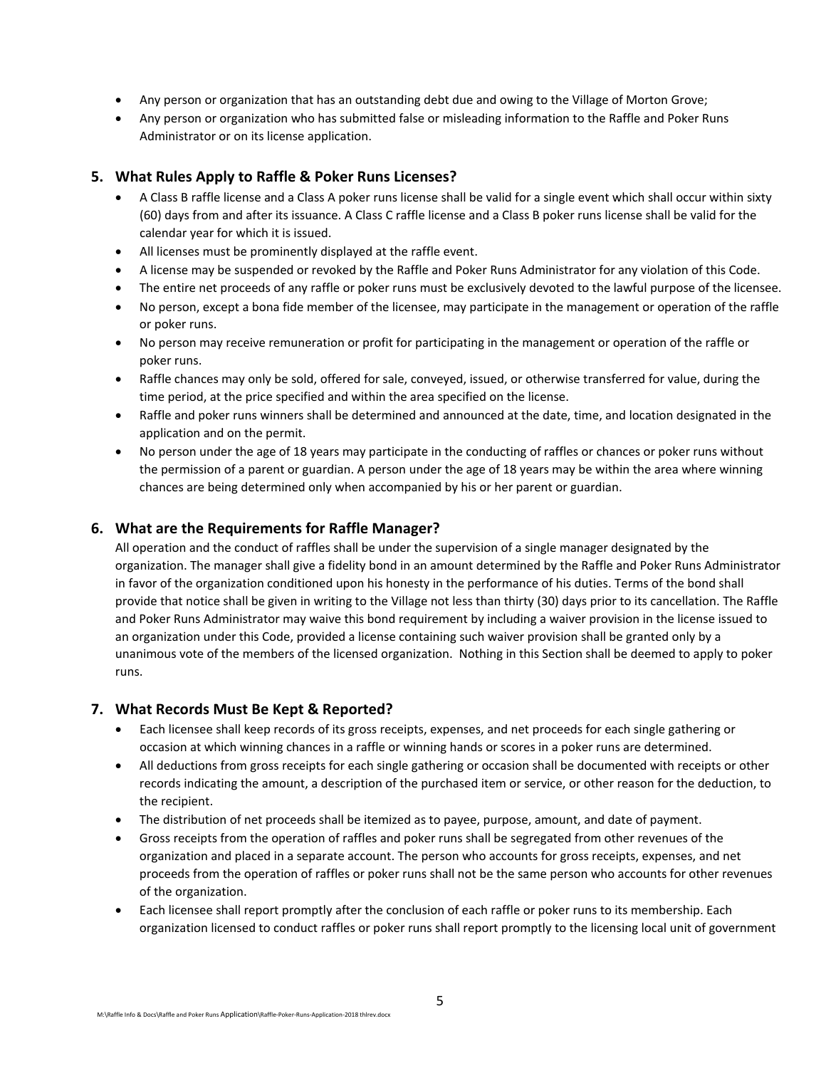- Any person or organization that has an outstanding debt due and owing to the Village of Morton Grove;
- Any person or organization who has submitted false or misleading information to the Raffle and Poker Runs Administrator or on its license application.

#### **5. What Rules Apply to Raffle & Poker Runs Licenses?**

- A Class B raffle license and a Class A poker runs license shall be valid for a single event which shall occur within sixty (60) days from and after its issuance. A Class C raffle license and a Class B poker runs license shall be valid for the calendar year for which it is issued.
- All licenses must be prominently displayed at the raffle event.
- A license may be suspended or revoked by the Raffle and Poker Runs Administrator for any violation of this Code.
- The entire net proceeds of any raffle or poker runs must be exclusively devoted to the lawful purpose of the licensee.
- No person, except a bona fide member of the licensee, may participate in the management or operation of the raffle or poker runs.
- No person may receive remuneration or profit for participating in the management or operation of the raffle or poker runs.
- Raffle chances may only be sold, offered for sale, conveyed, issued, or otherwise transferred for value, during the time period, at the price specified and within the area specified on the license.
- Raffle and poker runs winners shall be determined and announced at the date, time, and location designated in the application and on the permit.
- No person under the age of 18 years may participate in the conducting of raffles or chances or poker runs without the permission of a parent or guardian. A person under the age of 18 years may be within the area where winning chances are being determined only when accompanied by his or her parent or guardian.

#### **6. What are the Requirements for Raffle Manager?**

All operation and the conduct of raffles shall be under the supervision of a single manager designated by the organization. The manager shall give a fidelity bond in an amount determined by the Raffle and Poker Runs Administrator in favor of the organization conditioned upon his honesty in the performance of his duties. Terms of the bond shall provide that notice shall be given in writing to the Village not less than thirty (30) days prior to its cancellation. The Raffle and Poker Runs Administrator may waive this bond requirement by including a waiver provision in the license issued to an organization under this Code, provided a license containing such waiver provision shall be granted only by a unanimous vote of the members of the licensed organization. Nothing in this Section shall be deemed to apply to poker runs.

#### **7. What Records Must Be Kept & Reported?**

- Each licensee shall keep records of its gross receipts, expenses, and net proceeds for each single gathering or occasion at which winning chances in a raffle or winning hands or scores in a poker runs are determined.
- All deductions from gross receipts for each single gathering or occasion shall be documented with receipts or other records indicating the amount, a description of the purchased item or service, or other reason for the deduction, to the recipient.
- The distribution of net proceeds shall be itemized as to payee, purpose, amount, and date of payment.
- Gross receipts from the operation of raffles and poker runs shall be segregated from other revenues of the organization and placed in a separate account. The person who accounts for gross receipts, expenses, and net proceeds from the operation of raffles or poker runs shall not be the same person who accounts for other revenues of the organization.
- Each licensee shall report promptly after the conclusion of each raffle or poker runs to its membership. Each organization licensed to conduct raffles or poker runs shall report promptly to the licensing local unit of government